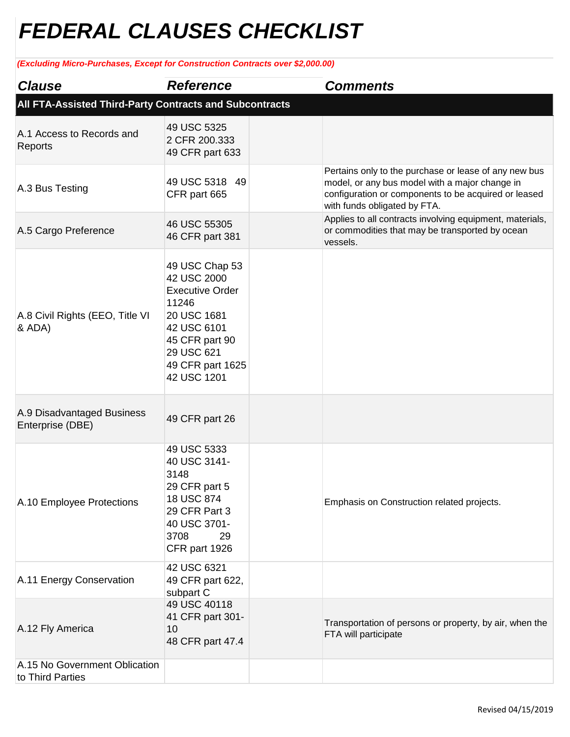## *FEDERAL CLAUSES CHECKLIST*

## *(Excluding Micro-Purchases, Except for Construction Contracts over \$2,000.00)*

| <b>Clause</b>                                           | <b>Reference</b>                                                                                                                                                  |  | <b>Comments</b>                                                                                                                                                                                 |  |  |  |
|---------------------------------------------------------|-------------------------------------------------------------------------------------------------------------------------------------------------------------------|--|-------------------------------------------------------------------------------------------------------------------------------------------------------------------------------------------------|--|--|--|
| All FTA-Assisted Third-Party Contracts and Subcontracts |                                                                                                                                                                   |  |                                                                                                                                                                                                 |  |  |  |
| A.1 Access to Records and<br>Reports                    | 49 USC 5325<br>2 CFR 200.333<br>49 CFR part 633                                                                                                                   |  |                                                                                                                                                                                                 |  |  |  |
| A.3 Bus Testing                                         | 49 USC 5318 49<br>CFR part 665                                                                                                                                    |  | Pertains only to the purchase or lease of any new bus<br>model, or any bus model with a major change in<br>configuration or components to be acquired or leased<br>with funds obligated by FTA. |  |  |  |
| A.5 Cargo Preference                                    | 46 USC 55305<br>46 CFR part 381                                                                                                                                   |  | Applies to all contracts involving equipment, materials,<br>or commodities that may be transported by ocean<br>vessels.                                                                         |  |  |  |
| A.8 Civil Rights (EEO, Title VI<br>& ADA)               | 49 USC Chap 53<br>42 USC 2000<br><b>Executive Order</b><br>11246<br>20 USC 1681<br>42 USC 6101<br>45 CFR part 90<br>29 USC 621<br>49 CFR part 1625<br>42 USC 1201 |  |                                                                                                                                                                                                 |  |  |  |
| A.9 Disadvantaged Business<br>Enterprise (DBE)          | 49 CFR part 26                                                                                                                                                    |  |                                                                                                                                                                                                 |  |  |  |
| A.10 Employee Protections                               | 49 USC 5333<br>40 USC 3141-<br>3148<br>29 CFR part 5<br>18 USC 874<br>29 CFR Part 3<br>40 USC 3701-<br>3708<br>29<br>CFR part 1926                                |  | Emphasis on Construction related projects.                                                                                                                                                      |  |  |  |
| A.11 Energy Conservation                                | 42 USC 6321<br>49 CFR part 622,<br>subpart C                                                                                                                      |  |                                                                                                                                                                                                 |  |  |  |
| A.12 Fly America                                        | 49 USC 40118<br>41 CFR part 301-<br>10<br>48 CFR part 47.4                                                                                                        |  | Transportation of persons or property, by air, when the<br>FTA will participate                                                                                                                 |  |  |  |
| A.15 No Government Oblication<br>to Third Parties       |                                                                                                                                                                   |  |                                                                                                                                                                                                 |  |  |  |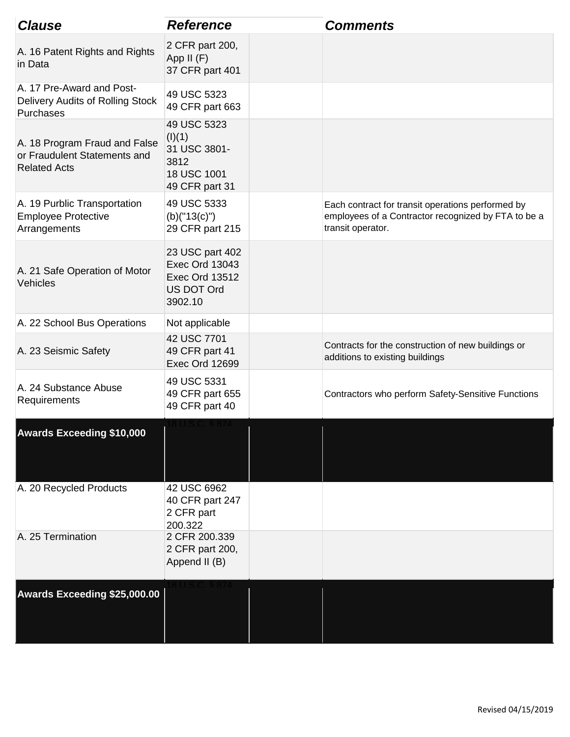| <b>Clause</b>                                                                        | <b>Reference</b>                                                                                  | <b>Comments</b>                                                                                                               |
|--------------------------------------------------------------------------------------|---------------------------------------------------------------------------------------------------|-------------------------------------------------------------------------------------------------------------------------------|
| A. 16 Patent Rights and Rights<br>in Data                                            | 2 CFR part 200,<br>App II (F)<br>37 CFR part 401                                                  |                                                                                                                               |
| A. 17 Pre-Award and Post-<br>Delivery Audits of Rolling Stock<br>Purchases           | 49 USC 5323<br>49 CFR part 663                                                                    |                                                                                                                               |
| A. 18 Program Fraud and False<br>or Fraudulent Statements and<br><b>Related Acts</b> | 49 USC 5323<br>(I)(1)<br>31 USC 3801-<br>3812<br>18 USC 1001<br>49 CFR part 31                    |                                                                                                                               |
| A. 19 Purblic Transportation<br><b>Employee Protective</b><br>Arrangements           | 49 USC 5333<br>$(b)'$ ("13(c)")<br>29 CFR part 215                                                | Each contract for transit operations performed by<br>employees of a Contractor recognized by FTA to be a<br>transit operator. |
| A. 21 Safe Operation of Motor<br>Vehicles                                            | 23 USC part 402<br><b>Exec Ord 13043</b><br><b>Exec Ord 13512</b><br><b>US DOT Ord</b><br>3902.10 |                                                                                                                               |
| A. 22 School Bus Operations                                                          | Not applicable                                                                                    |                                                                                                                               |
| A. 23 Seismic Safety                                                                 | 42 USC 7701<br>49 CFR part 41<br><b>Exec Ord 12699</b>                                            | Contracts for the construction of new buildings or<br>additions to existing buildings                                         |
| A. 24 Substance Abuse<br>Requirements                                                | 49 USC 5331<br>49 CFR part 655<br>49 CFR part 40                                                  | Contractors who perform Safety-Sensitive Functions                                                                            |
| <b>Awards Exceeding \$10,000</b>                                                     |                                                                                                   |                                                                                                                               |
| A. 20 Recycled Products                                                              | 42 USC 6962<br>40 CFR part 247<br>2 CFR part<br>200.322                                           |                                                                                                                               |
| A. 25 Termination                                                                    | 2 CFR 200.339<br>2 CFR part 200,<br>Append II (B)                                                 |                                                                                                                               |
| <b>Awards Exceeding \$25,000.00</b>                                                  |                                                                                                   |                                                                                                                               |